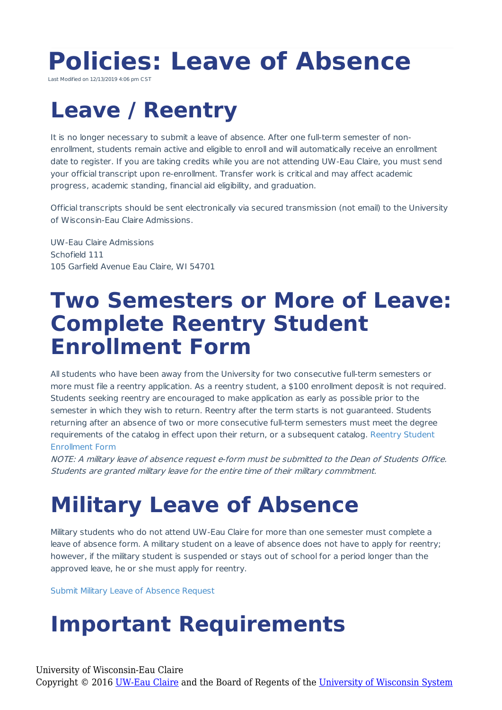# **Policies: Leave of Absence**

Last Modified on 12/13/2019 4:06 pm CST

### **Leave / Reentry**

It is no longer necessary to submit a leave of absence. After one full-term semester of nonenrollment, students remain active and eligible to enroll and will automatically receive an enrollment date to register. If you are taking credits while you are not attending UW-Eau Claire, you must send your official transcript upon re-enrollment. Transfer work is critical and may affect academic progress, academic standing, financial aid eligibility, and graduation.

Official transcripts should be sent electronically via secured transmission (not email) to the University of Wisconsin-Eau Claire Admissions.

UW-Eau Claire Admissions Schofield 111 105 Garfield Avenue Eau Claire, WI 54701

#### **Two Semesters or More of Leave: Complete Reentry Student Enrollment Form**

All students who have been away from the University for two consecutive full-term semesters or more must file a reentry application. As a reentry student, a \$100 enrollment deposit is not required. Students seeking reentry are encouraged to make application as early as possible prior to the semester in which they wish to return. Reentry after the term starts is not guaranteed. Students returning after an absence of two or more consecutive full-term semesters must meet the degree requirements of the catalog in effect upon their return, or a subsequent catalog. Reentry Student Enrollment Form

NOTE: A military leave of absence request e-form must be submitted to the Dean of Students Office. Students are granted military leave for the entire time of their military commitment.

## **Military Leave of Absence**

Military students who do not attend UW-Eau Claire for more than one semester must complete a leave of absence form. A military student on a leave of absence does not have to apply for reentry; however, if the military student is suspended or stays out of school for a period longer than the approved leave, he or she must apply for reentry.

Submit Military Leave of Absence Request

### **Important Requirements**

University of Wisconsin-Eau Claire

Copyright © 2016 [UW-Eau Claire](http://www.uwec.edu) and the Board of Regents of the [University of Wisconsin System](http://www.uwsa.edu/)